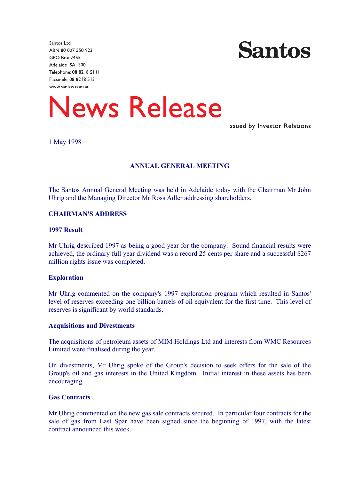Santos Ltd ABN 80 007 550 923 **GPO Box 2455** Adelaide SA 5001 Telephone: 08 8218 5111 Facsimile: 08 8218 5131 www.santos.com.au



# **News Release**

**Issued by Investor Relations** 

## 1 May 1998

## **ANNUAL GENERAL MEETING**

The Santos Annual General Meeting was held in Adelaide today with the Chairman Mr John Uhrig and the Managing Director Mr Ross Adler addressing shareholders.

#### **CHAIRMAN'S ADDRESS**

## **1997 Result**

Mr Uhrig described 1997 as being a good year for the company. Sound financial results were achieved, the ordinary full year dividend was a record 25 cents per share and a successful \$267 million rights issue was completed.

#### **Exploration**

Mr Uhrig commented on the company's 1997 exploration program which resulted in Santos' level of reserves exceeding one billion barrels of oil equivalent for the first time. This level of reserves is significant by world standards.

#### **Acquisitions and Divestments**

The acquisitions of petroleum assets of MIM Holdings Ltd and interests from WMC Resources Limited were finalised during the year.

On divestments, Mr Uhrig spoke of the Group's decision to seek offers for the sale of the Group's oil and gas interests in the United Kingdom. Initial interest in these assets has been encouraging.

## **Gas Contracts**

Mr Uhrig commented on the new gas sale contracts secured. In particular four contracts for the sale of gas from East Spar have been signed since the beginning of 1997, with the latest contract announced this week.